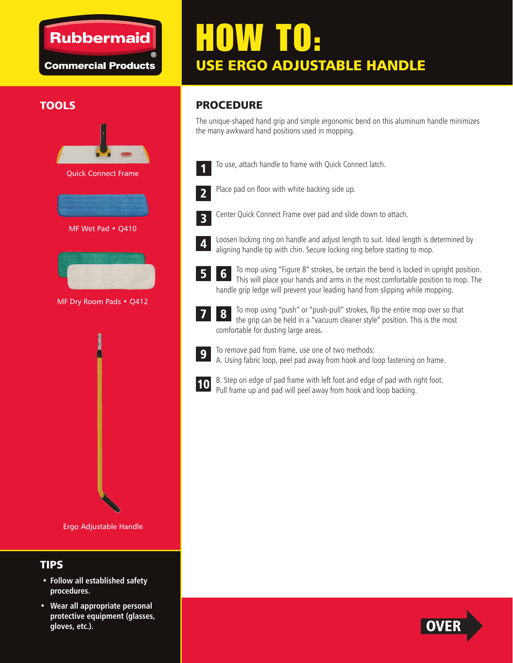### **Rubbermaid**

**Commercial Products** 

# HOW TO: USE ERGO ADJUSTABLE HANDLE

#### **TOOLS**



Ergo Adjustable Handle

#### TIPS

- **Follow all established safety procedures.**
- **Wear all appropriate personal protective equipment (glasses, gloves, etc.).**

#### PROCEDURE

The unique-shaped hand grip and simple ergonomic bend on this aluminum handle minimizes the many awkward hand positions used in mopping.

- 
- To use, attach handle to frame with Quick Connect latch.



Place pad on floor with white backing side up.



Center Quick Connect Frame over pad and slide down to attach.



Loosen locking ring on handle and adjust length to suit. Ideal length is determined by aligning handle tip with chin. Secure locking ring before starting to mop.

- To mop using "Figure 8" strokes, be certain the bend is locked in upright position. This will place your hands and arms in the most comfortable position to mop. The handle grip ledge will prevent your leading hand from slipping while mopping. 6
- To mop using "push" or "push-pull" strokes, flip the entire mop over so that the grip can be held in a "vacuum cleaner style" position. This is the most comfortable for dusting large areas. 8



7

5

To remove pad from frame, use one of two methods: A. Using fabric loop, peel pad away from hook and loop fastening on frame.



B. Step on edge of pad frame with left foot and edge of pad with right foot. Pull frame up and pad will peel away from hook and loop backing.